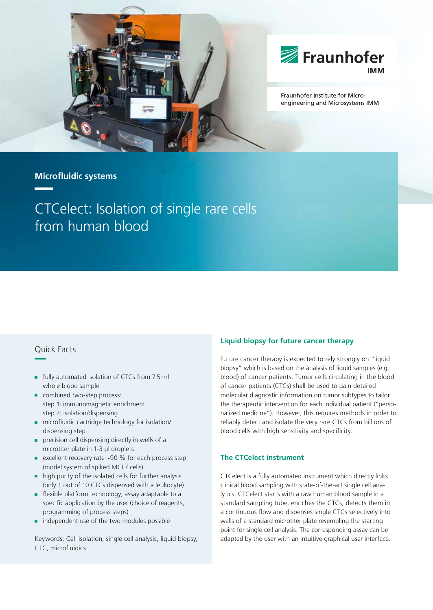



Fraunhofer Institute for Microengineering and Microsystems IMM

# **Microfl uidic systems**

# CTCelect: Isolation of single rare cells from human blood

# Quick Facts

- **fully automated isolation of CTCs from 7.5 ml** whole blood sample
- combined two-step process: step 1: immunomagnetic enrichment step 2: isolation/dispensing
- microfluidic cartridge technology for isolation/ dispensing step
- r precision cell dispensing directly in wells of a microtiter plate in 1-3 µl droplets
- ٠ excellent recovery rate ~90 % for each process step (model system of spiked MCF7 cells)
- high purity of the isolated cells for further analysis (only 1 out of 10 CTCs dispensed with a leukocyte)
- $\blacksquare$  flexible platform technology; assay adaptable to a specific application by the user (choice of reagents, programming of process steps)
- independent use of the two modules possible

Keywords: Cell isolation, single cell analysis, liquid biopsy, CTC, microfluidics

## **Liquid biopsy for future cancer therapy**

Future cancer therapy is expected to rely strongly on "liquid biopsy" which is based on the analysis of liquid samples (e.g. blood) of cancer patients. Tumor cells circulating in the blood of cancer patients (CTCs) shall be used to gain detailed molecular diagnostic information on tumor subtypes to tailor the therapeutic intervention for each individual patient ("personalized medicine"). However, this requires methods in order to reliably detect and isolate the very rare CTCs from billions of blood cells with high sensitivity and specificity.

## **The CTCelect instrument**

CTCelect is a fully automated instrument which directly links clinical blood sampling with state-of-the-art single cell analytics. CTCelect starts with a raw human blood sample in a standard sampling tube, enriches the CTCs, detects them in a continuous flow and dispenses single CTCs selectively into wells of a standard microtiter plate resembling the starting point for single cell analysis. The corresponding assay can be adapted by the user with an intuitive graphical user interface.